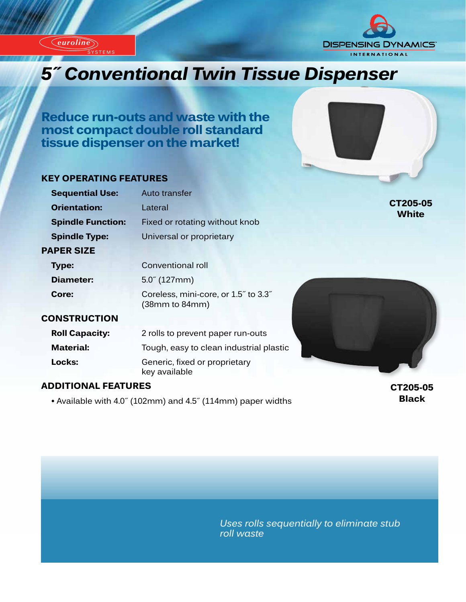*euroline* SYSTEMS

*euroline*



# **Innovational Twin Tissue Dispenser**

**Reduce run-outs and waste with the most compact double roll standard tissue dispenser on the market!**

#### **KEY OPERATING FEATURES**

| <b>Sequential Use:</b>     | Auto transfer                                                                   |                          |
|----------------------------|---------------------------------------------------------------------------------|--------------------------|
| <b>Orientation:</b>        | Lateral                                                                         | CT205-05<br><b>White</b> |
| <b>Spindle Function:</b>   | Fixed or rotating without knob                                                  |                          |
| <b>Spindle Type:</b>       | Universal or proprietary                                                        |                          |
| <b>PAPER SIZE</b>          |                                                                                 |                          |
| Type:                      | Conventional roll                                                               |                          |
| Diameter:                  | $5.0^{7}$ (127mm)                                                               |                          |
| Core:                      | Coreless, mini-core, or 1.5" to 3.3"<br>(38 <sub>mm</sub> to 84 <sub>mm</sub> ) |                          |
| <b>CONSTRUCTION</b>        |                                                                                 |                          |
| <b>Roll Capacity:</b>      | 2 rolls to prevent paper run-outs                                               |                          |
| <b>Material:</b>           | Tough, easy to clean industrial plastic                                         |                          |
| Locks:                     | Generic, fixed or proprietary<br>key available                                  |                          |
| <b>ADDITIONAL FEATURES</b> |                                                                                 | CT205-05                 |

 **•** Available with 4.0˝ (102mm) and 4.5˝ (114mm) paper widths

**CT205-05 Black**

*Uses rolls sequentially to eliminate stub roll waste*